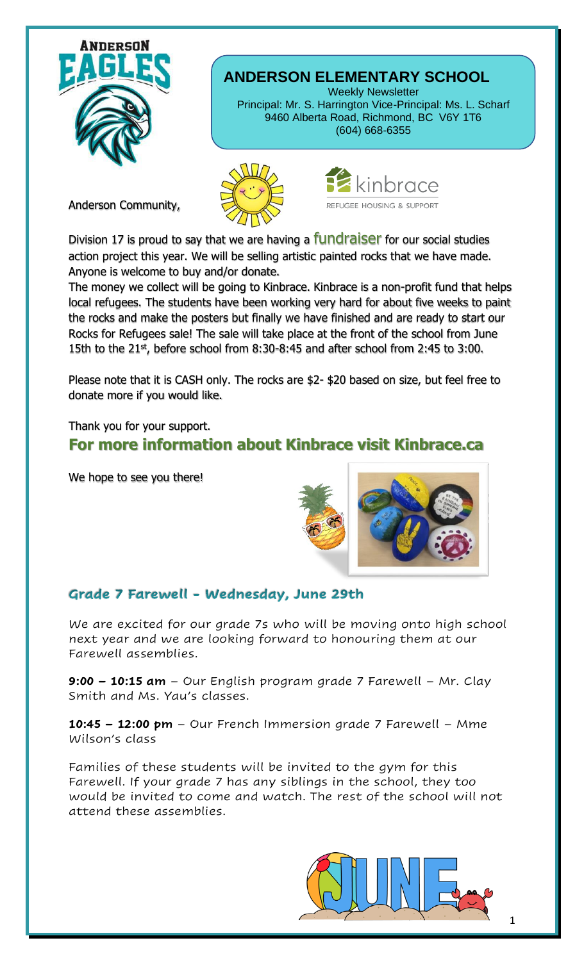

Anderson Community,

## **ANDERSON ELEMENTARY SCHOOL**

Weekly Newsletter Principal: Mr. S. Harrington Vice-Principal: Ms. L. Scharf 9460 Alberta Road, Richmond, BC V6Y 1T6 (604) 668-6355





Division 17 is proud to say that we are having a **fundraiser** for our social studies action project this year. We will be selling artistic painted rocks that we have made. Anyone is welcome to buy and/or donate.

The money we collect will be going to Kinbrace. Kinbrace is a non-profit fund that helps local refugees. The students have been working very hard for about five weeks to paint the rocks and make the posters but finally we have finished and are ready to start our Rocks for Refugees sale! The sale will take place at the front of the school from June 15th to the  $21^{st}$ , before school from 8:30-8:45 and after school from 2:45 to 3:00.

Please note that it is CASH only. The rocks are \$2- \$20 based on size, but feel free to donate more if you would like.

Thank you for your support.

## **For more information about Kinbrace visit Kinbrace.ca**

We hope to see you there!



## Grade 7 Farewell - Wednesday, June 29th

We are excited for our grade 7s who will be moving onto high school next year and we are looking forward to honouring them at our Farewell assemblies.

**9:00 – 10:15 am** – Our English program grade 7 Farewell – Mr. Clay Smith and Ms. Yau's classes.

**10:45 – 12:00 pm** – Our French Immersion grade 7 Farewell – Mme Wilson's class

Families of these students will be invited to the gym for this Farewell. If your grade 7 has any siblings in the school, they too would be invited to come and watch. The rest of the school will not attend these assemblies.